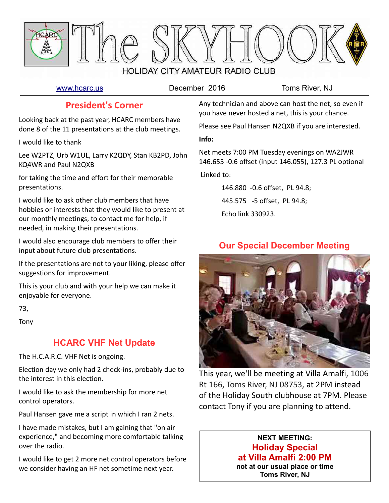

[www.hcarc.us](http://www.hcarc.us/) **December 2016** Toms River, NJ

## **President's Corner**

Looking back at the past year, HCARC members have done 8 of the 11 presentations at the club meetings.

I would like to thank

Lee W2PTZ, Urb W1UL, Larry K2QDY, Stan KB2PD, John KQ4WR and Paul N2QXB

for taking the time and effort for their memorable presentations.

I would like to ask other club members that have hobbies or interests that they would like to present at our monthly meetings, to contact me for help, if needed, in making their presentations.

I would also encourage club members to offer their input about future club presentations.

If the presentations are not to your liking, please offer suggestions for improvement.

This is your club and with your help we can make it enjoyable for everyone.

73,

Tony

# **HCARC VHF Net Update**

The H.C.A.R.C. VHF Net is ongoing.

Election day we only had 2 check-ins, probably due to the interest in this election.

I would like to ask the membership for more net control operators.

Paul Hansen gave me a script in which I ran 2 nets.

I have made mistakes, but I am gaining that "on air experience," and becoming more comfortable talking over the radio.

I would like to get 2 more net control operators before we consider having an HF net sometime next year.

Any technician and above can host the net, so even if you have never hosted a net, this is your chance.

Please see Paul Hansen N2QXB if you are interested.

**Info:** 

Net meets 7:00 PM Tuesday evenings on WA2JWR 146.655 -0.6 offset (input 146.055), 127.3 PL optional

Linked to:

146.880 -0.6 offset, PL 94.8; 445.575 -5 offset, PL 94.8; Echo link 330923.

# **Our Special December Meeting**



This year, we'll be meeting at Villa Amalfi, 1006 Rt 166, Toms River, NJ 08753, at 2PM instead of the Holiday South clubhouse at 7PM. Please contact Tony if you are planning to attend.

## **NEXT MEETING: Holiday Special at Villa Amalfi 2:00 PM not at our usual place or time**

**Toms River, NJ**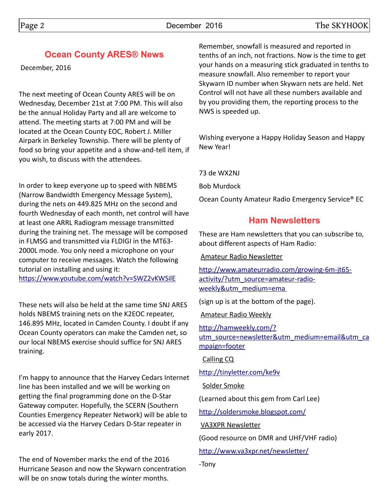## **Ocean County ARES® News**

December, 2016

The next meeting of Ocean County ARES will be on Wednesday, December 21st at 7:00 PM. This will also be the annual Holiday Party and all are welcome to attend. The meeting starts at 7:00 PM and will be located at the Ocean County EOC, Robert J. Miller Airpark in Berkeley Township. There will be plenty of food so bring your appetite and a show-and-tell item, if you wish, to discuss with the attendees.

In order to keep everyone up to speed with NBEMS (Narrow Bandwidth Emergency Message System), during the nets on 449.825 MHz on the second and fourth Wednesday of each month, net control will have at least one ARRL Radiogram message transmitted during the training net. The message will be composed in FLMSG and transmitted via FLDIGI in the MT63- 2000L mode. You only need a microphone on your computer to receive messages. Watch the following tutorial on installing and using it: <https://www.youtube.com/watch?v=SWZ2vKWSilE>

These nets will also be held at the same time SNJ ARES holds NBEMS training nets on the K2EOC repeater, 146.895 MHz, located in Camden County. I doubt if any Ocean County operators can make the Camden net, so our local NBEMS exercise should suffice for SNJ ARES training.

I'm happy to announce that the Harvey Cedars Internet line has been installed and we will be working on getting the final programming done on the D-Star Gateway computer. Hopefully, the SCERN (Southern Counties Emergency Repeater Network) will be able to be accessed via the Harvey Cedars D-Star repeater in early 2017.

The end of November marks the end of the 2016 Hurricane Season and now the Skywarn concentration will be on snow totals during the winter months.

Remember, snowfall is measured and reported in tenths of an inch, not fractions. Now is the time to get your hands on a measuring stick graduated in tenths to measure snowfall. Also remember to report your Skywarn ID number when Skywarn nets are held. Net Control will not have all these numbers available and by you providing them, the reporting process to the NWS is speeded up.

Wishing everyone a Happy Holiday Season and Happy New Year!

73 de WX2NJ

Bob Murdock

Ocean County Amateur Radio Emergency Service® EC

## **Ham Newsletters**

These are Ham newsletters that you can subscribe to, about different aspects of Ham Radio:

Amateur Radio Newsletter

[http://www.amateurradio.com/growing-6m-jt65](http://www.amateurradio.com/growing-6m-jt65-activity/?utm_source=amateur-radio-weekly&utm_medium=ema%20) [activity/?utm\\_source=amateur-radio](http://www.amateurradio.com/growing-6m-jt65-activity/?utm_source=amateur-radio-weekly&utm_medium=ema%20)[weekly&utm\\_medium=ema](http://www.amateurradio.com/growing-6m-jt65-activity/?utm_source=amateur-radio-weekly&utm_medium=ema%20) 

(sign up is at the bottom of the page).

Amateur Radio Weekly

[http://hamweekly.com/?](http://hamweekly.com/?utm_source=newsletter&utm_medium=email&utm_campaign=footer) [utm\\_source=newsletter&utm\\_medium=email&utm\\_ca](http://hamweekly.com/?utm_source=newsletter&utm_medium=email&utm_campaign=footer) [mpaign=footer](http://hamweekly.com/?utm_source=newsletter&utm_medium=email&utm_campaign=footer)

Calling CQ

<http://tinyletter.com/ke9v>

Solder Smoke

(Learned about this gem from Carl Lee)

<http://soldersmoke.blogspot.com/>

VA3XPR Newsletter

(Good resource on DMR and UHF/VHF radio)

<http://www.va3xpr.net/newsletter/>

-Tony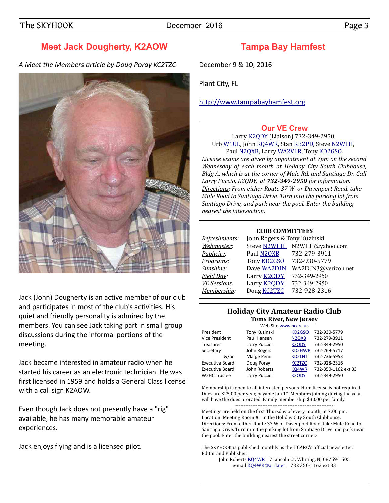# **Meet Jack Dougherty, K2AOW**

*A Meet the Members article by Doug Poray KC2TZC*



Jack (John) Dougherty is an active member of our club and participates in most of the club's activities. His quiet and friendly personality is admired by the members. You can see Jack taking part in small group discussions during the informal portions of the meeting.

Jack became interested in amateur radio when he started his career as an electronic technician. He was first licensed in 1959 and holds a General Class license with a call sign K2AOW.

Even though Jack does not presently have a "rig" available, he has many memorable amateur experiences.

Jack enjoys flying and is a licensed pilot.

# **Tampa Bay Hamfest**

December 9 & 10, 2016

Plant City, FL

[http://www.tampabayhamfest.org](http://www.tampabayhamfest.org/)

#### **[Our VE Crew](mailto:lpuccio1@comcast.net?subject=VE)**

Larry [K2QDY](mailto:lpuccio1@comcast.net) (Liaison) 732-349-2950, Urb [W1UL,](mailto:urb@W1UL.com) John [KQ4WR,](mailto:kq4wr@arrl.net) Stan [KB2PD,](mailto:kb2pd@hotmail.com) Steve [N2WLH,](mailto:n2wlh@yahoo.com) Paul [N2QXB,](mailto:n2qxb@juno.com) Larry [WA2VLR,](mailto:lloscalz@optonline.net) Tony [KD2GSO.](mailto:tonyk613@verizon.net)

*License exams are given by appointment at 7pm on the second Wednesday of each month at Holiday City South Clubhouse, Bldg A, which is at the corner of Mule Rd. and Santiago Dr. Call Larry Puccio, K2QDY, at 732-349-2950 for information. Directions: From either Route 37 W or Davenport Road, take Mule Road to Santiago Drive. Turn into the parking lot from Santiago Drive, and park near the pool. Enter the building nearest the intersection.*

#### **CLUB COMMITTEES**

| Refreshments:       | John Rogers & Tony Kuzinski |                             |  |  |  |  |
|---------------------|-----------------------------|-----------------------------|--|--|--|--|
| Webmaster:          |                             | Steve N2WLH N2WLH@yahoo.com |  |  |  |  |
| Publicity:          | Paul N2QXB                  | 732-279-3911                |  |  |  |  |
| Programs:           | Tony <b>KD2GSO</b>          | 732-930-5779                |  |  |  |  |
| Sunshine:           | Dave WA2DJN                 | WA2DJN3@verizon.net         |  |  |  |  |
| Field Day:          | Larry <b>K2QDY</b>          | 732-349-2950                |  |  |  |  |
| <b>VE Sessions:</b> | Larry <b>K2ODY</b>          | 732-349-2950                |  |  |  |  |
| Membership:         | Doug KC2TZC                 | 732-928-2316                |  |  |  |  |
|                     |                             |                             |  |  |  |  |

#### **Holiday City Amateur Radio Club Toms River, New Jersey**

|                        | Web Site www.hcarc.us |                                |                     |
|------------------------|-----------------------|--------------------------------|---------------------|
| President              | Tony Kuzinski         | KD <sub>2</sub> GSO            | 732-930-5779        |
| <b>Vice President</b>  | Paul Hansen           | N <sub>2Q</sub> X <sub>B</sub> | 732-279-3911        |
| Treasurer              | Larry Puccio          | <b>K2QDY</b>                   | 732-349-2950        |
| Secretary              | John Rogers           | KD2HWR                         | 732-269-5717        |
| &/or                   | Marge Penn            | <b>KD2LNT</b>                  | 732-736-5953        |
| <b>Executive Board</b> | Doug Poray            | <b>KC2TZC</b>                  | 732-928-2316        |
| <b>Executive Board</b> | John Roberts          | KQ4WR                          | 732-350-1162 ext 33 |
| W2HC Trustee           | Larry Puccio          | <b>K2QDY</b>                   | 732-349-2950        |
|                        |                       |                                |                     |

ite [www.hcarc.us](http://www.hcarc.us/) [KD2GSO](mailto:tonyk613@comcast.net) 732-930-5779 N<sub>2</sub>Q<sub>XB</sub> 732-279-3911 [K2QDY](mailto:lpuccio1@comcast.net) 732-349-2950 [KD2HWR](mailto:jjlazarus@comcast.net) 732-269-5717 [KD2LNT](mailto:Pearl1122@comcast.net) 732-736-5953 732-928-2316 [K2QDY](mailto:lpuccio1@comcast.net) 732-349-2950

Membership is open to all interested persons. Ham license is not required. Dues are \$25.00 per year, payable Jan  $1<sup>st</sup>$ . Members joining during the year will have the dues prorated. Family membership \$30.00 per family. ----------------------------------------------------------

Meetings are held on the first Thursday of every month, at 7:00 pm. Location: Meeting Room #1 in the Holiday City South Clubhouse. Directions: From either Route 37 W or Davenport Road, take Mule Road to Santiago Drive. Turn into the parking lot from Santiago Drive and park near the pool. Enter the building nearest the street corner.-

The SKYHOOK is published monthly as the HCARC's official newsletter. Editor and Publisher:

John Roberts [KQ4WR](mailto:kq4wr@arrl.net) 7 Lincoln Ct. Whiting, NJ 08759-1505 e-mail [KQ4WR@arrl.net](mailto:KQ4WR@arrl.net) 732 350-1162 ext 33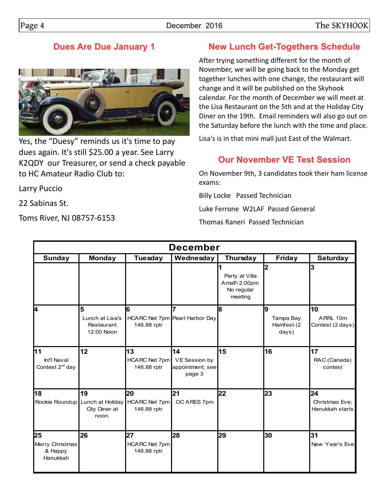## **Dues Are Due January 1**



Yes, the "Duesy" reminds us it's time to pay dues again. It's still \$25.00 a year. See Larry K2QDY our Treasurer, or send a check payable to HC Amateur Radio Club to:

Larry Puccio

22 Sabinas St.

Toms River, NJ 08757-6153

# **New Lunch Get-Togethers Schedule**

After trying something different for the month of November, we will be going back to the Monday get together lunches with one change, the restaurant will change and it will be published on the Skyhook calendar. For the month of December we will meet at the Lisa Restaurant on the 5th and at the Holiday City Diner on the 19th. Email reminders will also go out on the Saturday before the lunch with the time and place.

Lisa's is in that mini mall just East of the Walmart.

# **Our November VE Test Session**

On November 9th, 3 candidates took their ham license exams:

Billy Locke Passed Technician

Luke Ferrone W2LAF Passed General

Thomas Raneri Passed Technician

| <b>December</b>                                  |                                                                 |                                           |                                                   |                                                          |                                       |                                         |  |  |
|--------------------------------------------------|-----------------------------------------------------------------|-------------------------------------------|---------------------------------------------------|----------------------------------------------------------|---------------------------------------|-----------------------------------------|--|--|
| <b>Sunday</b>                                    | <b>Monday</b>                                                   | Tuesday                                   | Wednesday                                         | Thursday                                                 | <b>Friday</b>                         | <b>Saturday</b>                         |  |  |
|                                                  |                                                                 |                                           |                                                   | Party at Villa<br>Amalfi 2:00pm<br>No regular<br>meeting | 2                                     | 3                                       |  |  |
| 4                                                | 5<br>Lunch at Lisa's<br>Restaurant<br>12:00 Noon                | 6<br>146.88 rptr                          | 7<br>HCARC Net 7pm Pearl Harbor Day               | 8                                                        | 9<br>Tampa Bay<br>Hamfest (2<br>days) | 10<br>ARRL 10m<br>Contest (2 days)      |  |  |
| 11<br>Int'l Naval<br>Contest 2 <sup>nd</sup> day | 12                                                              | 13<br>HCARC Net 7pm<br>146.88 rptr        | 14<br>VE Session by<br>appointment; see<br>page 3 | 15                                                       | 16                                    | 17<br>RAC (Canada)<br>contest           |  |  |
| 18                                               | 19<br>Rookie Roundup Lunch at Holiday<br>City Diner at<br>noon. | 20<br><b>HCARC Net 7pm</b><br>146.88 rptr | 21<br>OC ARES 7pm                                 | 22                                                       | 23                                    | 24<br>Christmas Eve:<br>Hanukkah starts |  |  |
| 25<br>Merry Christmas<br>& Happy<br>Hanukkah     | 26                                                              | 27<br>HCARC Net 7pm<br>146.88 rptr        | 28                                                | 29                                                       | 30                                    | 31<br>New Year's Evel                   |  |  |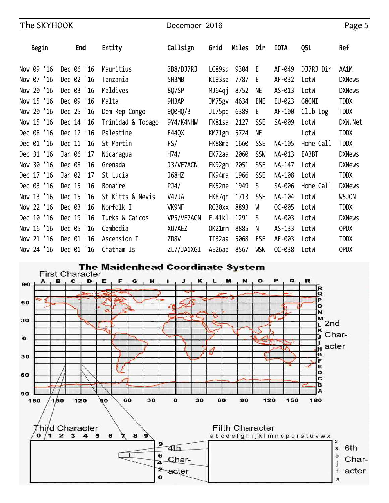| The SKYHOOK |               |                   | December 2016 |               |       |            |             | Page 5     |               |
|-------------|---------------|-------------------|---------------|---------------|-------|------------|-------------|------------|---------------|
| Begin       | End           | Entity            | Callsign      | Grid          | Miles | Dir        | <b>IOTA</b> | <b>QSL</b> | Ref           |
| Nov 09 '16  | Dec 06 '16    | Mauritius         | 3B8/DJ7RJ     | LG89sq        | 9304  | - E        | AF-049      | DJ7RJ Dir  | AA1M          |
| Nov 07 '16  | Dec 02 '16    | Tanzania          | 5H3MB         | KI93sa        | 7787  | Е          | AF-032      | LotW       | <b>DXNews</b> |
| Nov 20 '16  | Dec 03 '16    | Maldives          | 8Q7SP         | MJ64qj        | 8752  | <b>NE</b>  | AS-013      | LotW       | <b>DXNews</b> |
| Nov 15 '16  | Dec 09<br>'16 | Malta             | 9H3AP         | JM75gv        | 4634  | ENE        | EU-023      | G8GNI      | <b>TDDX</b>   |
| Nov 20 '16  | Dec 25 '16    | Dem Rep Congo     | 9Q0HQ/3       | JI75pq        | 6389  | E          | AF-100      | Club Log   | <b>TDDX</b>   |
| Nov 15 '16  | Dec 14 '16    | Trinidad & Tobago | 9Y4/K4NHW     | FK81sa        | 2127  | <b>SSE</b> | SA-009      | LotW       | DXW.Net       |
| Dec 08 '16  | Dec 12 '16    | Palestine         | E44QX         | KM71gm        | 5724  | <b>NE</b>  |             | LotW       | <b>TDDX</b>   |
| Dec 01 '16  | Dec 11 '16    | St Martin         | FS/           | FK88ma        | 1660  | <b>SSE</b> | NA-105      | Home Call  | <b>TDDX</b>   |
| Dec 31 '16  | Jan 06 '17    | Nicaragua         | H74/          | EK72aa        | 2060  | <b>SSW</b> | NA-013      | EA3BT      | <b>DXNews</b> |
| Nov 30 '16  | Dec 08 '16    | Grenada           | J3/VE7ACN     | FK92gm        | 2051  | <b>SSE</b> | NA-147      | LotW       | <b>DXNews</b> |
| Dec 17 '16  | Jan 02 '17    | St Lucia          | <b>J68HZ</b>  | FK94ma        | 1966  | <b>SSE</b> | NA-108      | LotW       | <b>TDDX</b>   |
| Dec 03 '16  | Dec 15 '16    | Bonaire           | PJ4/          | FK52ne        | 1949  | S          | SA-006      | Home Call  | <b>DXNews</b> |
| Nov 13 '16  | Dec 15 '16    | St Kitts & Nevis  | <b>V47JA</b>  | FK87qh        | 1713  | <b>SSE</b> | NA-104      | LotW       | W5JON         |
| Nov 22 '16  | Dec 03 '16    | Norfolk I         | VK9NF         | RG30xx        | 8893  | W          | OC-005      | LotW       | <b>TDDX</b>   |
| Dec 10 '16  | Dec 19 '16    | Turks & Caicos    | VP5/VE7ACN    | <b>FL41k1</b> | 1291  | -S         | NA-003      | LotW       | <b>DXNews</b> |
| Nov 16 '16  | Dec 05 '16    | Cambodia          | XU7AEZ        | OK21mm        | 8885  | N          | AS-133      | LotW       | <b>OPDX</b>   |
| Nov 21 '16  | Dec 01 '16    | Ascension I       | ZD8V          | II32aa        | 5068  | ESE        | AF-003      | LotW       | <b>TDDX</b>   |
| Nov 24 '16  | Dec 01 '16    | Chatham Is        | ZL7/JA1XGI    | AE26aa        | 8567  | <b>WSW</b> | OC-038      | LotW       | <b>OPDX</b>   |

The Maidenhead Coordinate System